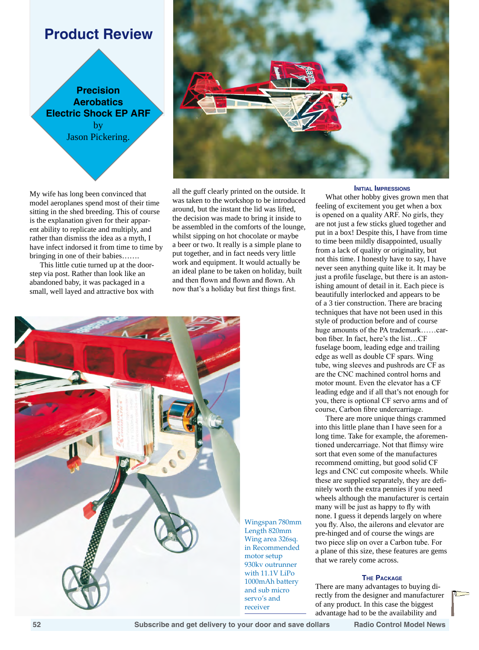# **Product Review**

**Precision Aerobatics Electric Shock EP ARF**  by Jason Pickering.

My wife has long been convinced that model aeroplanes spend most of their time sitting in the shed breeding. This of course is the explanation given for their apparent ability to replicate and multiply, and rather than dismiss the idea as a myth, I have infect indorsed it from time to time by bringing in one of their babies…….

This little cutie turned up at the doorstep via post. Rather than look like an abandoned baby, it was packaged in a small, well layed and attractive box with



all the guff clearly printed on the outside. It was taken to the workshop to be introduced around, but the instant the lid was lifted, the decision was made to bring it inside to be assembled in the comforts of the lounge, whilst sipping on hot chocolate or maybe a beer or two. It really is a simple plane to put together, and in fact needs very little work and equipment. It would actually be an ideal plane to be taken on holiday, built and then flown and flown and flown. Ah now that's a holiday but first things first.



Wingspan 780mm Length 820mm Wing area 326sq. in Recommended motor setup 930kv outrunner with 11.1V LiPo 1000mAh battery and sub micro servo's and receiver

### **Initial Impressions**

What other hobby gives grown men that feeling of excitement you get when a box is opened on a quality ARF. No girls, they are not just a few sticks glued together and put in a box! Despite this, I have from time to time been mildly disappointed, usually from a lack of quality or originality, but not this time. I honestly have to say, I have never seen anything quite like it. It may be just a profile fuselage, but there is an astonishing amount of detail in it. Each piece is beautifully interlocked and appears to be of a 3 tier construction. There are bracing techniques that have not been used in this style of production before and of course huge amounts of the PA trademark……carbon fiber. In fact, here's the list…CF fuselage boom, leading edge and trailing edge as well as double CF spars. Wing tube, wing sleeves and pushrods are CF as are the CNC machined control horns and motor mount. Even the elevator has a CF leading edge and if all that's not enough for you, there is optional CF servo arms and of course, Carbon fibre undercarriage.

There are more unique things crammed into this little plane than I have seen for a long time. Take for example, the aforementioned undercarriage. Not that flimsy wire sort that even some of the manufactures recommend omitting, but good solid CF legs and CNC cut composite wheels. While these are supplied separately, they are definitely worth the extra pennies if you need wheels although the manufacturer is certain many will be just as happy to fly with none. I guess it depends largely on where you fly. Also, the ailerons and elevator are pre-hinged and of course the wings are two piece slip on over a Carbon tube. For a plane of this size, these features are gems that we rarely come across.

## **The Package**

There are many advantages to buying directly from the designer and manufacturer of any product. In this case the biggest advantage had to be the availability and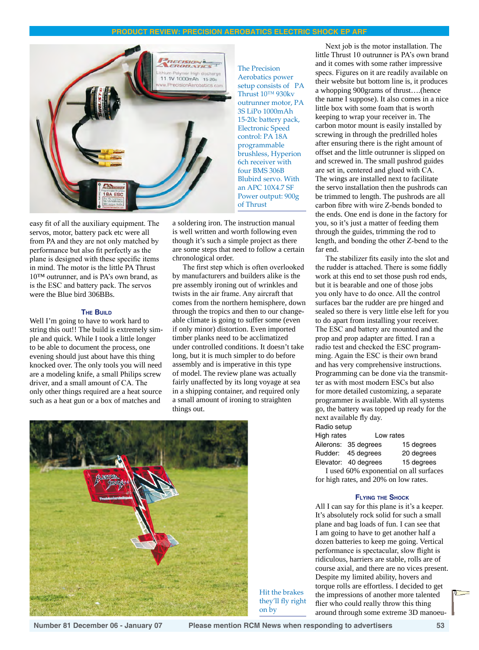# **Product review: Precision Aerobatics Electric Shock EP ARF**



easy fit of all the auxiliary equipment. The servos, motor, battery pack etc were all from PA and they are not only matched by performance but also fit perfectly as the plane is designed with these specific items in mind. The motor is the little PA Thrust 10™ outrunner, and is PA's own brand, as is the ESC and battery pack. The servos were the Blue bird 306BBs.

#### **The Build**

Well I'm going to have to work hard to string this out!! The build is extremely simple and quick. While I took a little longer to be able to document the process, one evening should just about have this thing knocked over. The only tools you will need are a modeling knife, a small Philips screw driver, and a small amount of CA. The only other things required are a heat source such as a heat gun or a box of matches and

a soldering iron. The instruction manual is well written and worth following even though it's such a simple project as there are some steps that need to follow a certain chronological order.

The first step which is often overlooked by manufacturers and builders alike is the pre assembly ironing out of wrinkles and twists in the air frame. Any aircraft that comes from the northern hemisphere, down through the tropics and then to our changeable climate is going to suffer some (even if only minor) distortion. Even imported timber planks need to be acclimatized under controlled conditions. It doesn't take long, but it is much simpler to do before assembly and is imperative in this type of model. The review plane was actually fairly unaffected by its long voyage at sea in a shipping container, and required only a small amount of ironing to straighten things out.



Hit the brakes they'll fly right on by

Next job is the motor installation. The little Thrust 10 outrunner is PA's own brand and it comes with some rather impressive specs. Figures on it are readily available on their website but bottom line is, it produces a whopping 900grams of thrust….(hence the name I suppose). It also comes in a nice little box with some foam that is worth keeping to wrap your receiver in. The carbon motor mount is easily installed by screwing in through the predrilled holes after ensuring there is the right amount of offset and the little outrunner is slipped on and screwed in. The small pushrod guides are set in, centered and glued with CA. The wings are installed next to facilitate the servo installation then the pushrods can be trimmed to length. The pushrods are all carbon fibre with wire Z-bends bonded to the ends. One end is done in the factory for you, so it's just a matter of feeding them through the guides, trimming the rod to length, and bonding the other Z-bend to the far end.

The stabilizer fits easily into the slot and the rudder is attached. There is some fiddly work at this end to set those push rod ends, but it is bearable and one of those jobs you only have to do once. All the control surfaces bar the rudder are pre hinged and sealed so there is very little else left for you to do apart from installing your receiver. The ESC and battery are mounted and the prop and prop adapter are fitted. I ran a radio test and checked the ESC programming. Again the ESC is their own brand and has very comprehensive instructions. Programming can be done via the transmitter as with most modern ESCs but also for more detailed customizing, a separate programmer is available. With all systems go, the battery was topped up ready for the next available fly day. Radio setup

| i iuulu octup |                      |           |
|---------------|----------------------|-----------|
| High rates    |                      | Low rates |
|               | Ailerane: 35 degrees | ٠         |

|                      | Luced 60% experience of all currence |
|----------------------|--------------------------------------|
| Elevator: 40 degrees | 15 degrees                           |
| Rudder: 45 degrees   | 20 degrees                           |
| Ailerons: 35 degrees | 15 degrees                           |

I used 60% exponential on all surfaces for high rates, and 20% on low rates.

## **Flying the Shock**

All I can say for this plane is it's a keeper. It's absolutely rock solid for such a small plane and bag loads of fun. I can see that I am going to have to get another half a dozen batteries to keep me going. Vertical performance is spectacular, slow flight is ridiculous, harriers are stable, rolls are of course axial, and there are no vices present. Despite my limited ability, hovers and torque rolls are effortless. I decided to get the impressions of another more talented flier who could really throw this thing around through some extreme 3D manoeu-